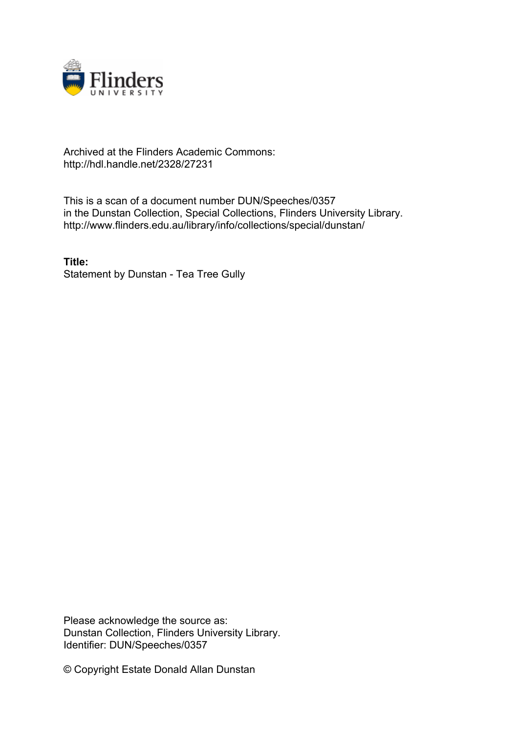

## Archived at the Flinders Academic Commons: http://hdl.handle.net/2328/27231

This is a scan of a document number DUN/Speeches/0357 in the Dunstan Collection, Special Collections, Flinders University Library. http://www.flinders.edu.au/library/info/collections/special/dunstan/

**Title:** Statement by Dunstan - Tea Tree Gully

Please acknowledge the source as: Dunstan Collection, Flinders University Library. Identifier: DUN/Speeches/0357

© Copyright Estate Donald Allan Dunstan